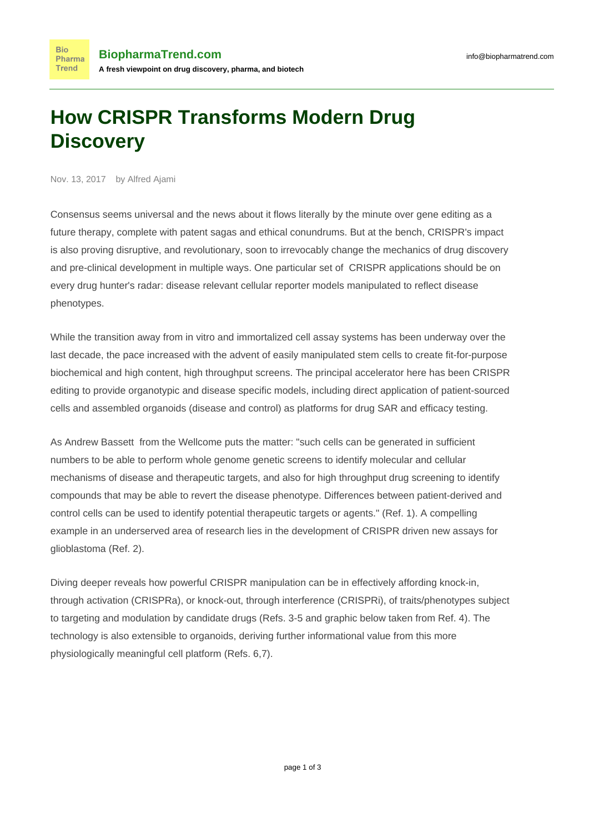## **How CRISPR Transforms Modern Drug Discovery**

Nov. 13, 2017 by Alfred Ajami

**Bio** Pharma Trend

Consensus seems universal and the news about it flows literally by the minute over gene editing as a future therapy, complete with patent sagas and ethical conundrums. But at the bench, CRISPR's impact is also proving disruptive, and revolutionary, soon to irrevocably change the mechanics of drug discovery and pre-clinical development in multiple ways. One particular set of CRISPR applications should be on every drug hunter's radar: disease relevant cellular reporter models manipulated to reflect disease phenotypes.

While the transition away from in vitro and immortalized cell assay systems has been underway over the last decade, the pace increased with the advent of easily manipulated stem cells to create fit-for-purpose biochemical and high content, high throughput screens. The principal accelerator here has been CRISPR editing to provide organotypic and disease specific models, including direct application of patient-sourced cells and assembled organoids (disease and control) as platforms for drug SAR and efficacy testing.

As Andrew Bassett from the Wellcome puts the matter: "such cells can be generated in sufficient numbers to be able to perform whole genome genetic screens to identify molecular and cellular mechanisms of disease and therapeutic targets, and also for high throughput drug screening to identify compounds that may be able to revert the disease phenotype. Differences between patient-derived and control cells can be used to identify potential therapeutic targets or agents." (Ref. 1). A compelling example in an underserved area of research lies in the development of CRISPR driven new assays for glioblastoma (Ref. 2).

Diving deeper reveals how powerful CRISPR manipulation can be in effectively affording knock-in, through activation (CRISPRa), or knock-out, through interference (CRISPRi), of traits/phenotypes subject to targeting and modulation by candidate drugs (Refs. 3-5 and graphic below taken from Ref. 4). The technology is also extensible to organoids, deriving further informational value from this more physiologically meaningful cell platform (Refs. 6,7).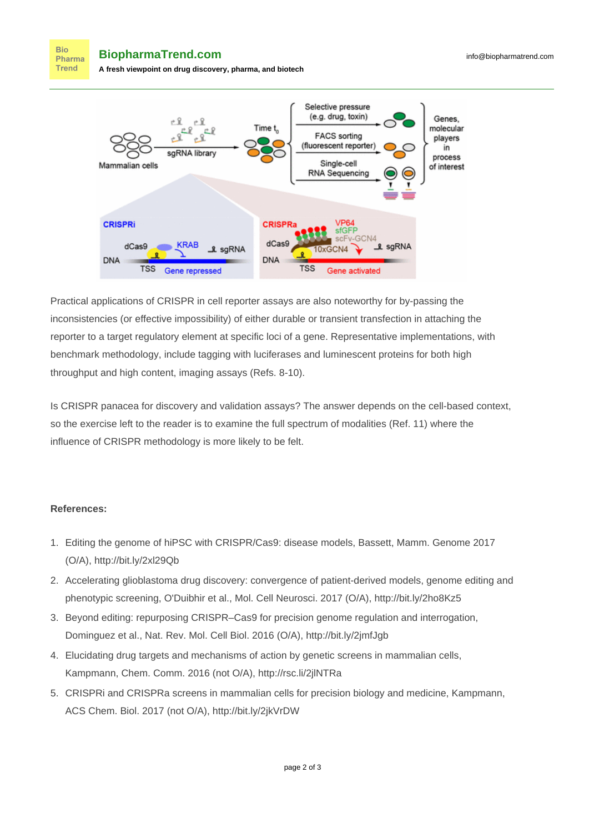**BiopharmaTrend.com**

**Bio** Pharma **Trend** 

**A fresh viewpoint on drug discovery, pharma, and biotech**



Practical applications of CRISPR in cell reporter assays are also noteworthy for by-passing the inconsistencies (or effective impossibility) of either durable or transient transfection in attaching the reporter to a target regulatory element at specific loci of a gene. Representative implementations, with benchmark methodology, include tagging with luciferases and luminescent proteins for both high throughput and high content, imaging assays (Refs. 8-10).

Is CRISPR panacea for discovery and validation assays? The answer depends on the cell-based context, so the exercise left to the reader is to examine the full spectrum of modalities (Ref. 11) where the influence of CRISPR methodology is more likely to be felt.

## **References:**

- 1. Editing the genome of hiPSC with CRISPR/Cas9: disease models, Bassett, Mamm. Genome 2017 (O/A),<http://bit.ly/2xl29Qb>
- 2. Accelerating glioblastoma drug discovery: convergence of patient-derived models, genome editing and phenotypic screening, O'Duibhir et al., Mol. Cell Neurosci. 2017 (O/A), <http://bit.ly/2ho8Kz5>
- 3. Beyond editing: repurposing CRISPR–Cas9 for precision genome regulation and interrogation, Dominguez et al., Nat. Rev. Mol. Cell Biol. 2016 (O/A),<http://bit.ly/2jmfJgb>
- 4. Elucidating drug targets and mechanisms of action by genetic screens in mammalian cells, Kampmann, Chem. Comm. 2016 (not O/A),<http://rsc.li/2jlNTRa>
- 5. CRISPRi and CRISPRa screens in mammalian cells for precision biology and medicine, Kampmann, ACS Chem. Biol. 2017 (not O/A), <http://bit.ly/2jkVrDW>